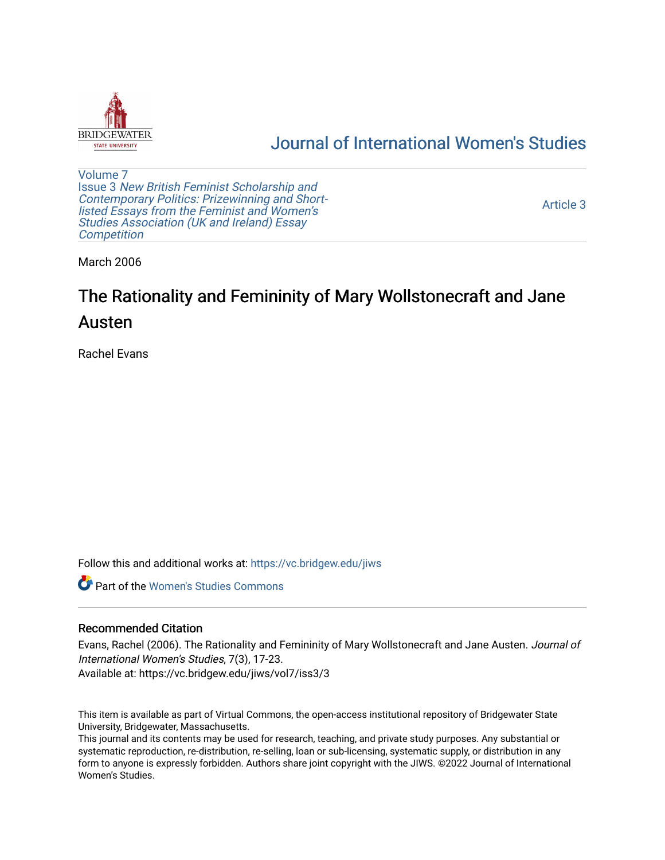

# [Journal of International Women's Studies](https://vc.bridgew.edu/jiws)

[Volume 7](https://vc.bridgew.edu/jiws/vol7) Issue 3 [New British Feminist Scholarship and](https://vc.bridgew.edu/jiws/vol7/iss3)  [Contemporary Politics: Prizewinning and Short](https://vc.bridgew.edu/jiws/vol7/iss3)[listed Essays from the Feminist and Women's](https://vc.bridgew.edu/jiws/vol7/iss3)  [Studies Association \(UK and Ireland\) Essay](https://vc.bridgew.edu/jiws/vol7/iss3)  **Competition** 

[Article 3](https://vc.bridgew.edu/jiws/vol7/iss3/3) 

March 2006

# The Rationality and Femininity of Mary Wollstonecraft and Jane Austen

Rachel Evans

Follow this and additional works at: [https://vc.bridgew.edu/jiws](https://vc.bridgew.edu/jiws?utm_source=vc.bridgew.edu%2Fjiws%2Fvol7%2Fiss3%2F3&utm_medium=PDF&utm_campaign=PDFCoverPages)

**C** Part of the Women's Studies Commons

## Recommended Citation

Evans, Rachel (2006). The Rationality and Femininity of Mary Wollstonecraft and Jane Austen. Journal of International Women's Studies, 7(3), 17-23.

Available at: https://vc.bridgew.edu/jiws/vol7/iss3/3

This item is available as part of Virtual Commons, the open-access institutional repository of Bridgewater State University, Bridgewater, Massachusetts.

This journal and its contents may be used for research, teaching, and private study purposes. Any substantial or systematic reproduction, re-distribution, re-selling, loan or sub-licensing, systematic supply, or distribution in any form to anyone is expressly forbidden. Authors share joint copyright with the JIWS. ©2022 Journal of International Women's Studies.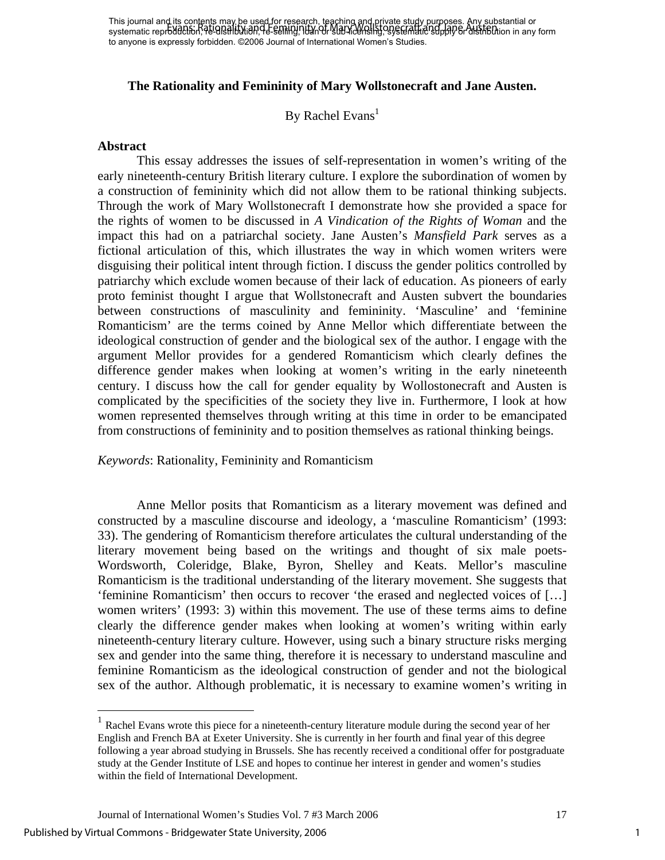# **The Rationality and Femininity of Mary Wollstonecraft and Jane Austen.**

# By Rachel Evans<sup>1</sup>

#### **Abstract**

 This essay addresses the issues of self-representation in women's writing of the early nineteenth-century British literary culture. I explore the subordination of women by a construction of femininity which did not allow them to be rational thinking subjects. Through the work of Mary Wollstonecraft I demonstrate how she provided a space for the rights of women to be discussed in *A Vindication of the Rights of Woman* and the impact this had on a patriarchal society. Jane Austen's *Mansfield Park* serves as a fictional articulation of this, which illustrates the way in which women writers were disguising their political intent through fiction. I discuss the gender politics controlled by patriarchy which exclude women because of their lack of education. As pioneers of early proto feminist thought I argue that Wollstonecraft and Austen subvert the boundaries between constructions of masculinity and femininity. 'Masculine' and 'feminine Romanticism' are the terms coined by Anne Mellor which differentiate between the ideological construction of gender and the biological sex of the author. I engage with the argument Mellor provides for a gendered Romanticism which clearly defines the difference gender makes when looking at women's writing in the early nineteenth century. I discuss how the call for gender equality by Wollostonecraft and Austen is complicated by the specificities of the society they live in. Furthermore, I look at how women represented themselves through writing at this time in order to be emancipated from constructions of femininity and to position themselves as rational thinking beings.

## *Keywords*: Rationality, Femininity and Romanticism

Anne Mellor posits that Romanticism as a literary movement was defined and constructed by a masculine discourse and ideology, a 'masculine Romanticism' (1993: 33). The gendering of Romanticism therefore articulates the cultural understanding of the literary movement being based on the writings and thought of six male poets-Wordsworth, Coleridge, Blake, Byron, Shelley and Keats. Mellor's masculine Romanticism is the traditional understanding of the literary movement. She suggests that 'feminine Romanticism' then occurs to recover 'the erased and neglected voices of […] women writers' (1993: 3) within this movement. The use of these terms aims to define clearly the difference gender makes when looking at women's writing within early nineteenth-century literary culture. However, using such a binary structure risks merging sex and gender into the same thing, therefore it is necessary to understand masculine and feminine Romanticism as the ideological construction of gender and not the biological sex of the author. Although problematic, it is necessary to examine women's writing in

1

<span id="page-1-0"></span><sup>&</sup>lt;sup>1</sup> Rachel Evans wrote this piece for a nineteenth-century literature module during the second year of her English and French BA at Exeter University. She is currently in her fourth and final year of this degree following a year abroad studying in Brussels. She has recently received a conditional offer for postgraduate study at the Gender Institute of LSE and hopes to continue her interest in gender and women's studies within the field of International Development.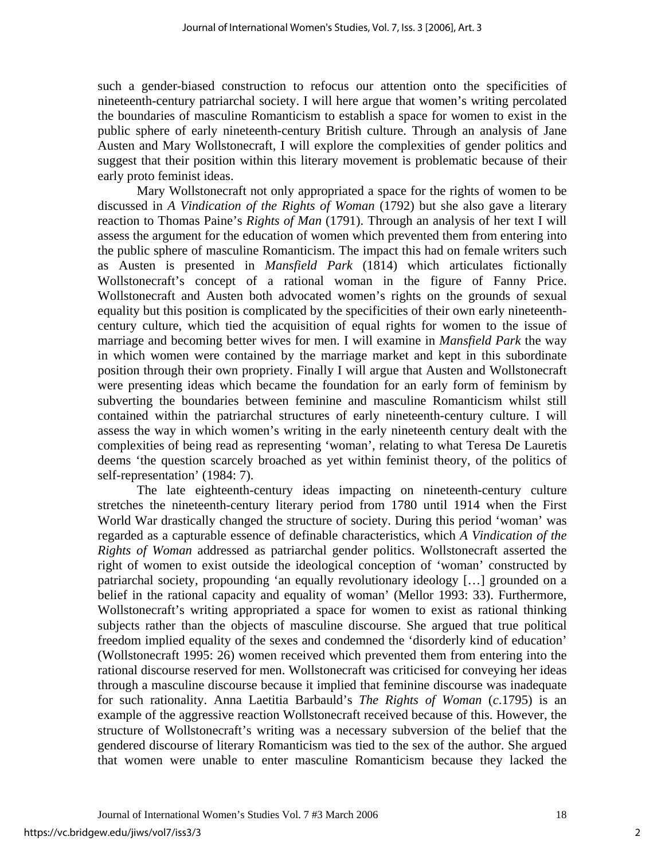such a gender-biased construction to refocus our attention onto the specificities of nineteenth-century patriarchal society. I will here argue that women's writing percolated the boundaries of masculine Romanticism to establish a space for women to exist in the public sphere of early nineteenth-century British culture. Through an analysis of Jane Austen and Mary Wollstonecraft, I will explore the complexities of gender politics and suggest that their position within this literary movement is problematic because of their early proto feminist ideas.

Mary Wollstonecraft not only appropriated a space for the rights of women to be discussed in *A Vindication of the Rights of Woman* (1792) but she also gave a literary reaction to Thomas Paine's *Rights of Man* (1791). Through an analysis of her text I will assess the argument for the education of women which prevented them from entering into the public sphere of masculine Romanticism. The impact this had on female writers such as Austen is presented in *Mansfield Park* (1814) which articulates fictionally Wollstonecraft's concept of a rational woman in the figure of Fanny Price. Wollstonecraft and Austen both advocated women's rights on the grounds of sexual equality but this position is complicated by the specificities of their own early nineteenthcentury culture, which tied the acquisition of equal rights for women to the issue of marriage and becoming better wives for men. I will examine in *Mansfield Park* the way in which women were contained by the marriage market and kept in this subordinate position through their own propriety. Finally I will argue that Austen and Wollstonecraft were presenting ideas which became the foundation for an early form of feminism by subverting the boundaries between feminine and masculine Romanticism whilst still contained within the patriarchal structures of early nineteenth-century culture. I will assess the way in which women's writing in the early nineteenth century dealt with the complexities of being read as representing 'woman', relating to what Teresa De Lauretis deems 'the question scarcely broached as yet within feminist theory, of the politics of self-representation' (1984: 7).

The late eighteenth-century ideas impacting on nineteenth-century culture stretches the nineteenth-century literary period from 1780 until 1914 when the First World War drastically changed the structure of society. During this period 'woman' was regarded as a capturable essence of definable characteristics, which *A Vindication of the Rights of Woman* addressed as patriarchal gender politics. Wollstonecraft asserted the right of women to exist outside the ideological conception of 'woman' constructed by patriarchal society, propounding 'an equally revolutionary ideology […] grounded on a belief in the rational capacity and equality of woman' (Mellor 1993: 33). Furthermore, Wollstonecraft's writing appropriated a space for women to exist as rational thinking subjects rather than the objects of masculine discourse. She argued that true political freedom implied equality of the sexes and condemned the 'disorderly kind of education' (Wollstonecraft 1995: 26) women received which prevented them from entering into the rational discourse reserved for men. Wollstonecraft was criticised for conveying her ideas through a masculine discourse because it implied that feminine discourse was inadequate for such rationality. Anna Laetitia Barbauld's *The Rights of Woman* (*c*.1795) is an example of the aggressive reaction Wollstonecraft received because of this. However, the structure of Wollstonecraft's writing was a necessary subversion of the belief that the gendered discourse of literary Romanticism was tied to the sex of the author. She argued that women were unable to enter masculine Romanticism because they lacked the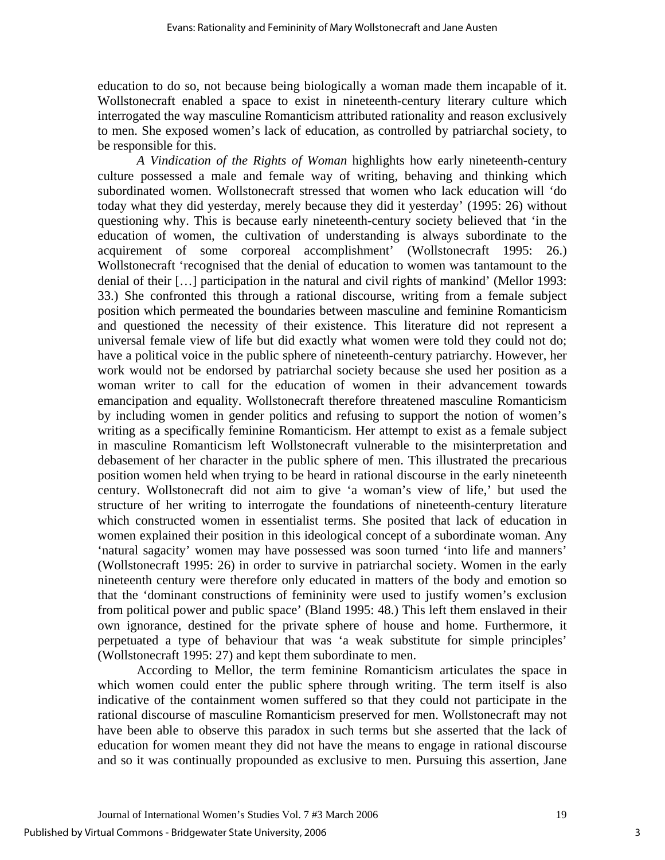education to do so, not because being biologically a woman made them incapable of it. Wollstonecraft enabled a space to exist in nineteenth-century literary culture which interrogated the way masculine Romanticism attributed rationality and reason exclusively to men. She exposed women's lack of education, as controlled by patriarchal society, to be responsible for this.

*A Vindication of the Rights of Woman* highlights how early nineteenth-century culture possessed a male and female way of writing, behaving and thinking which subordinated women. Wollstonecraft stressed that women who lack education will 'do today what they did yesterday, merely because they did it yesterday' (1995: 26) without questioning why. This is because early nineteenth-century society believed that 'in the education of women, the cultivation of understanding is always subordinate to the acquirement of some corporeal accomplishment' (Wollstonecraft 1995: 26.) Wollstonecraft 'recognised that the denial of education to women was tantamount to the denial of their […] participation in the natural and civil rights of mankind' (Mellor 1993: 33.) She confronted this through a rational discourse, writing from a female subject position which permeated the boundaries between masculine and feminine Romanticism and questioned the necessity of their existence. This literature did not represent a universal female view of life but did exactly what women were told they could not do; have a political voice in the public sphere of nineteenth-century patriarchy. However, her work would not be endorsed by patriarchal society because she used her position as a woman writer to call for the education of women in their advancement towards emancipation and equality. Wollstonecraft therefore threatened masculine Romanticism by including women in gender politics and refusing to support the notion of women's writing as a specifically feminine Romanticism. Her attempt to exist as a female subject in masculine Romanticism left Wollstonecraft vulnerable to the misinterpretation and debasement of her character in the public sphere of men. This illustrated the precarious position women held when trying to be heard in rational discourse in the early nineteenth century. Wollstonecraft did not aim to give 'a woman's view of life,' but used the structure of her writing to interrogate the foundations of nineteenth-century literature which constructed women in essentialist terms. She posited that lack of education in women explained their position in this ideological concept of a subordinate woman. Any 'natural sagacity' women may have possessed was soon turned 'into life and manners' (Wollstonecraft 1995: 26) in order to survive in patriarchal society. Women in the early nineteenth century were therefore only educated in matters of the body and emotion so that the 'dominant constructions of femininity were used to justify women's exclusion from political power and public space' (Bland 1995: 48.) This left them enslaved in their own ignorance, destined for the private sphere of house and home. Furthermore, it perpetuated a type of behaviour that was 'a weak substitute for simple principles' (Wollstonecraft 1995: 27) and kept them subordinate to men.

According to Mellor, the term feminine Romanticism articulates the space in which women could enter the public sphere through writing. The term itself is also indicative of the containment women suffered so that they could not participate in the rational discourse of masculine Romanticism preserved for men. Wollstonecraft may not have been able to observe this paradox in such terms but she asserted that the lack of education for women meant they did not have the means to engage in rational discourse and so it was continually propounded as exclusive to men. Pursuing this assertion, Jane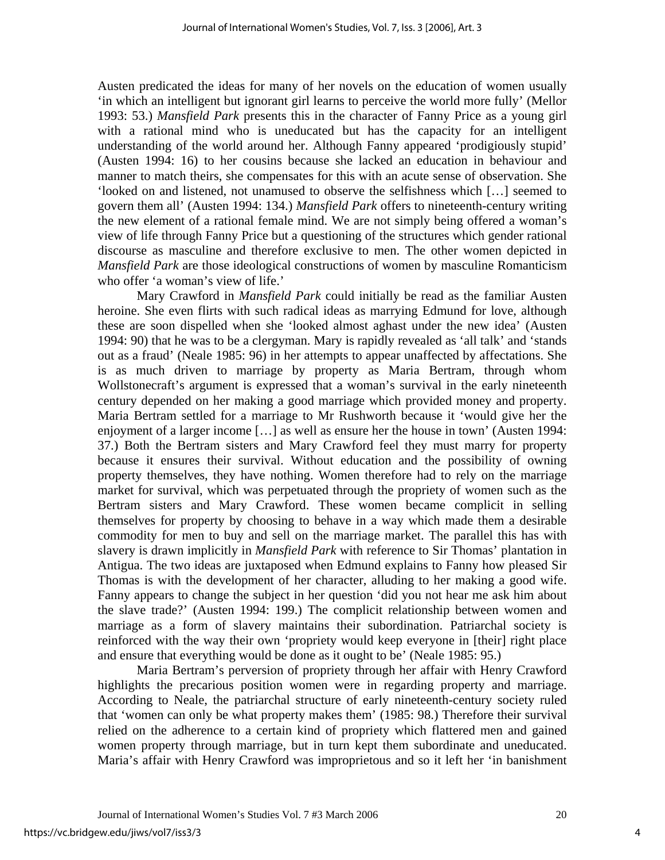Austen predicated the ideas for many of her novels on the education of women usually 'in which an intelligent but ignorant girl learns to perceive the world more fully' (Mellor 1993: 53.) *Mansfield Park* presents this in the character of Fanny Price as a young girl with a rational mind who is uneducated but has the capacity for an intelligent understanding of the world around her. Although Fanny appeared 'prodigiously stupid' (Austen 1994: 16) to her cousins because she lacked an education in behaviour and manner to match theirs, she compensates for this with an acute sense of observation. She 'looked on and listened, not unamused to observe the selfishness which […] seemed to govern them all' (Austen 1994: 134.) *Mansfield Park* offers to nineteenth-century writing the new element of a rational female mind. We are not simply being offered a woman's view of life through Fanny Price but a questioning of the structures which gender rational discourse as masculine and therefore exclusive to men. The other women depicted in *Mansfield Park* are those ideological constructions of women by masculine Romanticism who offer 'a woman's view of life.'

Mary Crawford in *Mansfield Park* could initially be read as the familiar Austen heroine. She even flirts with such radical ideas as marrying Edmund for love, although these are soon dispelled when she 'looked almost aghast under the new idea' (Austen 1994: 90) that he was to be a clergyman. Mary is rapidly revealed as 'all talk' and 'stands out as a fraud' (Neale 1985: 96) in her attempts to appear unaffected by affectations. She is as much driven to marriage by property as Maria Bertram, through whom Wollstonecraft's argument is expressed that a woman's survival in the early nineteenth century depended on her making a good marriage which provided money and property. Maria Bertram settled for a marriage to Mr Rushworth because it 'would give her the enjoyment of a larger income […] as well as ensure her the house in town' (Austen 1994: 37.) Both the Bertram sisters and Mary Crawford feel they must marry for property because it ensures their survival. Without education and the possibility of owning property themselves, they have nothing. Women therefore had to rely on the marriage market for survival, which was perpetuated through the propriety of women such as the Bertram sisters and Mary Crawford. These women became complicit in selling themselves for property by choosing to behave in a way which made them a desirable commodity for men to buy and sell on the marriage market. The parallel this has with slavery is drawn implicitly in *Mansfield Park* with reference to Sir Thomas' plantation in Antigua. The two ideas are juxtaposed when Edmund explains to Fanny how pleased Sir Thomas is with the development of her character, alluding to her making a good wife. Fanny appears to change the subject in her question 'did you not hear me ask him about the slave trade?' (Austen 1994: 199.) The complicit relationship between women and marriage as a form of slavery maintains their subordination. Patriarchal society is reinforced with the way their own 'propriety would keep everyone in [their] right place and ensure that everything would be done as it ought to be' (Neale 1985: 95.)

Maria Bertram's perversion of propriety through her affair with Henry Crawford highlights the precarious position women were in regarding property and marriage. According to Neale, the patriarchal structure of early nineteenth-century society ruled that 'women can only be what property makes them' (1985: 98.) Therefore their survival relied on the adherence to a certain kind of propriety which flattered men and gained women property through marriage, but in turn kept them subordinate and uneducated. Maria's affair with Henry Crawford was improprietous and so it left her 'in banishment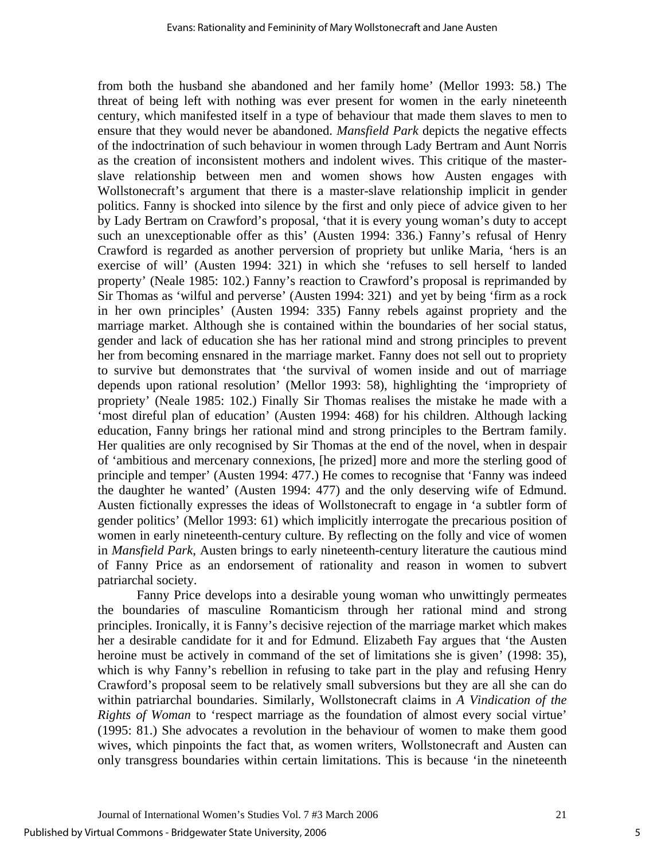from both the husband she abandoned and her family home' (Mellor 1993: 58.) The threat of being left with nothing was ever present for women in the early nineteenth century, which manifested itself in a type of behaviour that made them slaves to men to ensure that they would never be abandoned. *Mansfield Park* depicts the negative effects of the indoctrination of such behaviour in women through Lady Bertram and Aunt Norris as the creation of inconsistent mothers and indolent wives. This critique of the masterslave relationship between men and women shows how Austen engages with Wollstonecraft's argument that there is a master-slave relationship implicit in gender politics. Fanny is shocked into silence by the first and only piece of advice given to her by Lady Bertram on Crawford's proposal, 'that it is every young woman's duty to accept such an unexceptionable offer as this' (Austen 1994: 336.) Fanny's refusal of Henry Crawford is regarded as another perversion of propriety but unlike Maria, 'hers is an exercise of will' (Austen 1994: 321) in which she 'refuses to sell herself to landed property' (Neale 1985: 102.) Fanny's reaction to Crawford's proposal is reprimanded by Sir Thomas as 'wilful and perverse' (Austen 1994: 321) and yet by being 'firm as a rock in her own principles' (Austen 1994: 335) Fanny rebels against propriety and the marriage market. Although she is contained within the boundaries of her social status, gender and lack of education she has her rational mind and strong principles to prevent her from becoming ensnared in the marriage market. Fanny does not sell out to propriety to survive but demonstrates that 'the survival of women inside and out of marriage depends upon rational resolution' (Mellor 1993: 58), highlighting the 'impropriety of propriety' (Neale 1985: 102.) Finally Sir Thomas realises the mistake he made with a 'most direful plan of education' (Austen 1994: 468) for his children. Although lacking education, Fanny brings her rational mind and strong principles to the Bertram family. Her qualities are only recognised by Sir Thomas at the end of the novel, when in despair of 'ambitious and mercenary connexions, [he prized] more and more the sterling good of principle and temper' (Austen 1994: 477.) He comes to recognise that 'Fanny was indeed the daughter he wanted' (Austen 1994: 477) and the only deserving wife of Edmund. Austen fictionally expresses the ideas of Wollstonecraft to engage in 'a subtler form of gender politics' (Mellor 1993: 61) which implicitly interrogate the precarious position of women in early nineteenth-century culture. By reflecting on the folly and vice of women in *Mansfield Park*, Austen brings to early nineteenth-century literature the cautious mind of Fanny Price as an endorsement of rationality and reason in women to subvert patriarchal society.

Fanny Price develops into a desirable young woman who unwittingly permeates the boundaries of masculine Romanticism through her rational mind and strong principles. Ironically, it is Fanny's decisive rejection of the marriage market which makes her a desirable candidate for it and for Edmund. Elizabeth Fay argues that 'the Austen heroine must be actively in command of the set of limitations she is given' (1998: 35), which is why Fanny's rebellion in refusing to take part in the play and refusing Henry Crawford's proposal seem to be relatively small subversions but they are all she can do within patriarchal boundaries. Similarly, Wollstonecraft claims in *A Vindication of the Rights of Woman to 'respect marriage as the foundation of almost every social virtue'* (1995: 81.) She advocates a revolution in the behaviour of women to make them good wives, which pinpoints the fact that, as women writers, Wollstonecraft and Austen can only transgress boundaries within certain limitations. This is because 'in the nineteenth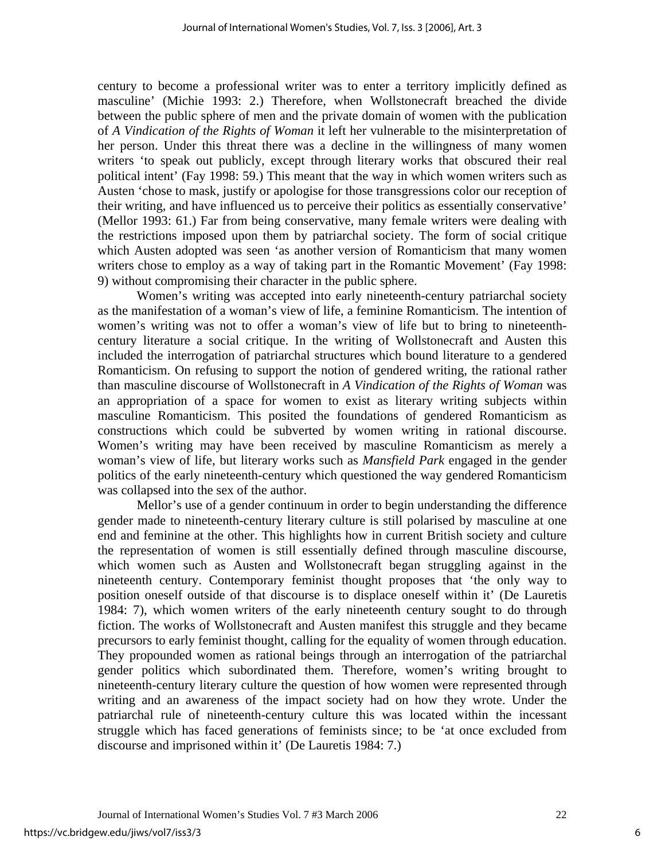century to become a professional writer was to enter a territory implicitly defined as masculine' (Michie 1993: 2.) Therefore, when Wollstonecraft breached the divide between the public sphere of men and the private domain of women with the publication of *A Vindication of the Rights of Woman* it left her vulnerable to the misinterpretation of her person. Under this threat there was a decline in the willingness of many women writers 'to speak out publicly, except through literary works that obscured their real political intent' (Fay 1998: 59.) This meant that the way in which women writers such as Austen 'chose to mask, justify or apologise for those transgressions color our reception of their writing, and have influenced us to perceive their politics as essentially conservative' (Mellor 1993: 61.) Far from being conservative, many female writers were dealing with the restrictions imposed upon them by patriarchal society. The form of social critique which Austen adopted was seen 'as another version of Romanticism that many women writers chose to employ as a way of taking part in the Romantic Movement' (Fay 1998: 9) without compromising their character in the public sphere.

Women's writing was accepted into early nineteenth-century patriarchal society as the manifestation of a woman's view of life, a feminine Romanticism. The intention of women's writing was not to offer a woman's view of life but to bring to nineteenthcentury literature a social critique. In the writing of Wollstonecraft and Austen this included the interrogation of patriarchal structures which bound literature to a gendered Romanticism. On refusing to support the notion of gendered writing, the rational rather than masculine discourse of Wollstonecraft in *A Vindication of the Rights of Woman* was an appropriation of a space for women to exist as literary writing subjects within masculine Romanticism. This posited the foundations of gendered Romanticism as constructions which could be subverted by women writing in rational discourse. Women's writing may have been received by masculine Romanticism as merely a woman's view of life, but literary works such as *Mansfield Park* engaged in the gender politics of the early nineteenth-century which questioned the way gendered Romanticism was collapsed into the sex of the author.

Mellor's use of a gender continuum in order to begin understanding the difference gender made to nineteenth-century literary culture is still polarised by masculine at one end and feminine at the other. This highlights how in current British society and culture the representation of women is still essentially defined through masculine discourse, which women such as Austen and Wollstonecraft began struggling against in the nineteenth century. Contemporary feminist thought proposes that 'the only way to position oneself outside of that discourse is to displace oneself within it' (De Lauretis 1984: 7), which women writers of the early nineteenth century sought to do through fiction. The works of Wollstonecraft and Austen manifest this struggle and they became precursors to early feminist thought, calling for the equality of women through education. They propounded women as rational beings through an interrogation of the patriarchal gender politics which subordinated them. Therefore, women's writing brought to nineteenth-century literary culture the question of how women were represented through writing and an awareness of the impact society had on how they wrote. Under the patriarchal rule of nineteenth-century culture this was located within the incessant struggle which has faced generations of feminists since; to be 'at once excluded from discourse and imprisoned within it' (De Lauretis 1984: 7.)